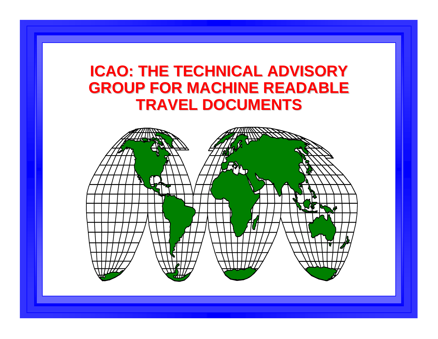#### **ICAO: THE TECHNICAL ADVISORY GROUP FOR MACHINE READABLE TRAVEL DOCUMENTS TRAVEL DOCUMENTS**

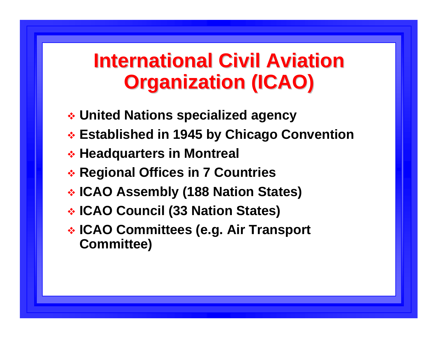# **International Civil Aviation Organization (ICAO) Organization (ICAO)**

- **United Nations specialized agency**
- **Established in 1945 by Chicago Convention**
- **Headquarters in Montreal**
- **Regional Offices in 7 Countries**
- **ICAO Assembly (188 Nation States)**
- **ICAO Council (33 Nation States)**
- **ICAO Committees (e.g. Air Transport Committee)**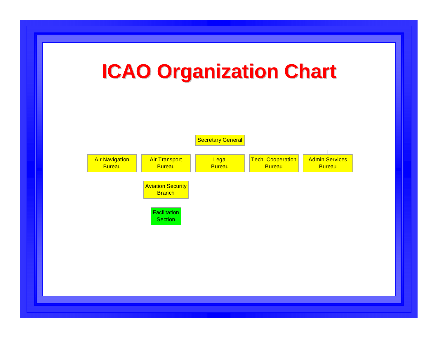# **ICAO Organization Chart ICAO Organization Chart**

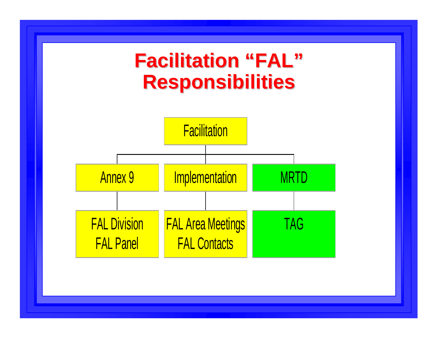#### **Facilitation Facilitation "FAL "Responsibilities Responsibilities**

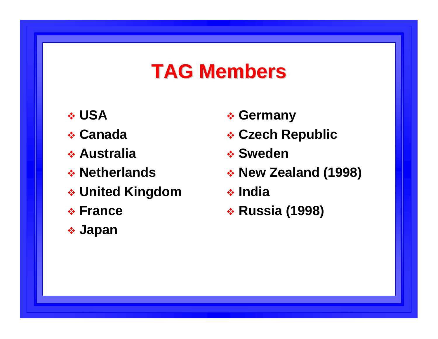## **TAG Members TAG Members**

- **USA**
- **Canada**
- **Australia**
- **Netherlands**
- **United Kingdom**
- **France**
- **Japan**
- **Germany**
- **Czech Republic**
- **Sweden**
- **New Zealand (1998)**
- **India**
- **Russia (1998)**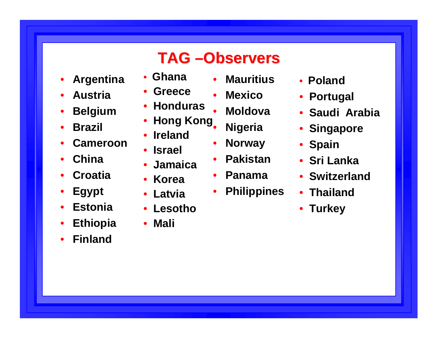### **TAG –Observers Observers**

- $\bullet$ **Argen tina**
- •**Austria**
- $\bullet$ **Belgium**
- •**Brazil**
- •**Cameroon**
- •**China**
- •**Croatia**
- $\bullet$ **Egypt**
- •**Estonia**
- $\bullet$ **Ethiopia**
- •**Finland**
- $\bullet$ **Ghana**
- •**Greece**
- •**Honduras**
- **Hong Kong** •
- •**Ireland**
- **Israel**
- •**Jamaica**
- **Korea**
- **Latvia**
- **Lesotho**

#### • **Mali**

- •**Mauritius**
- •**Mexico**
- •• Moldova
- **Nigeria**
	- •**Norway**
	- •**Pakistan**
	- •**Panama**
	- $\bullet$ **Philippines**
- **Poland**
- **Portugal**
- **Saudi Arabia**
- **Singapore**
- **Spain**
- **Sri Lanka**
- **Switzerland**
- **Thailand**
- **Turkey**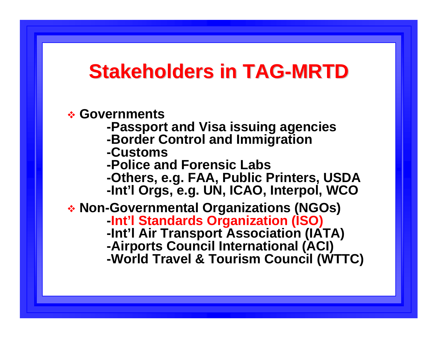### **Stakeholders in TAG Stakeholders in TAG-MRTD**

 **Governments -Passport and Visa issuing agencies -Border Control and Immigration -Customs-Police and Forensic Labs-Others, e.g. FAA, Public Printers, USDA -Int'l Orgs, e.g. UN, ICAO, Interpol, WCO Non-Governmental Organizations (NGOs) -Int'l Standards Organization (ISO) -Int'l Air Transport Association (IATA) -Airports Council International (ACI) -World Travel & Tourism Council (WTTC)**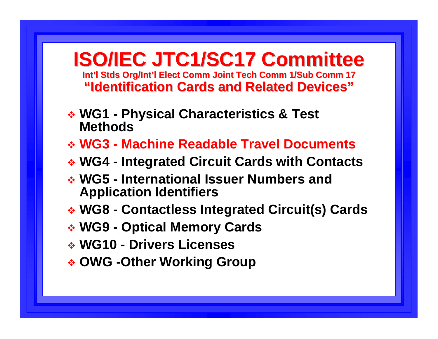**ISO/IEC JTC1/SC17 Committee ISO/IEC JTC1/SC17 Committee Int'l Stds Org/Int'l Elect Comm Joint Tech Comm 1/Sub Comm 17 "Identification Cards and Related Devices Identification Cards and Related Devices"**

- **WG1 - Physical Characteristics & Test Methods**
- **WG3 - Machine Readable Travel Documents**
- **WG4 - Integrated Circuit Cards with Contacts**
- **WG5 - International Issuer Numbers and Application Identifiers**
- **WG8 - Contactless Integrated Circuit(s) Cards**
- **WG9 - Optical Memory Cards**
- **WG10 - Drivers Licenses**
- **OWG -Other Working Group**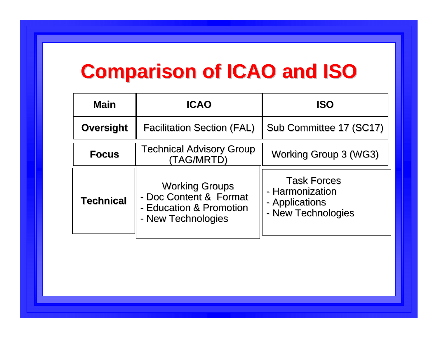# **Comparison of ICAO and ISO Comparison of ICAO and ISO**

| <b>Main</b>      | <b>ICAO</b>                                                                                      | <b>ISO</b>                                                                    |
|------------------|--------------------------------------------------------------------------------------------------|-------------------------------------------------------------------------------|
| <b>Oversight</b> | <b>Facilitation Section (FAL)</b>                                                                | Sub Committee 17 (SC17)                                                       |
| <b>Focus</b>     | Technical Advisory Group<br>(TAG/MRTD)                                                           | <b>Working Group 3 (WG3)</b>                                                  |
| <b>Technical</b> | <b>Working Groups</b><br>- Doc Content & Format<br>- Education & Promotion<br>- New Technologies | <b>Task Forces</b><br>- Harmonization<br>- Applications<br>- New Technologies |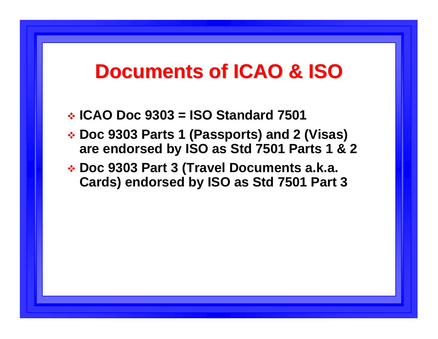### **Documents of ICAO & ISO Documents of ICAO & ISO**

- **ICAO Doc 9303 = ISO Standard 7501**
- **Doc 9303 Parts 1 (Passports) and 2 (Visas) are endorsed by ISO as Std 7501 Parts 1 & 2**
- **Doc 9303 Part 3 (Travel Documents a.k.a. Cards) endorsed by ISO as Std 7501 Part 3**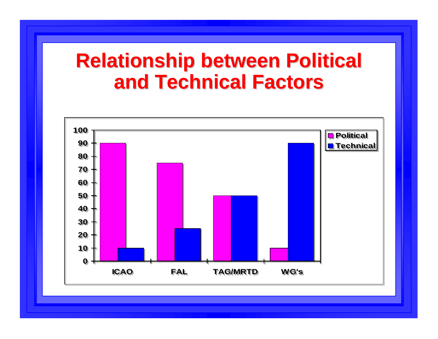## **Relationship between Political and Technical Factors and Technical Factors**

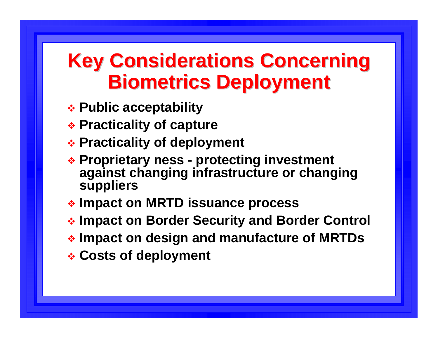# **Key Considerations Concerning Biometrics Deployment**

- **Public acceptability**
- **Practicality of capture**
- **Practicality of deployment**
- **A: Proprietary ness protecting investment against changing infrastructure or changing suppliers**
- **Impact on MRTD issuance process**
- **Impact on Border Security and Border Control**
- **Impact on design and manufacture of MRTDs**
- **Costs of deployment**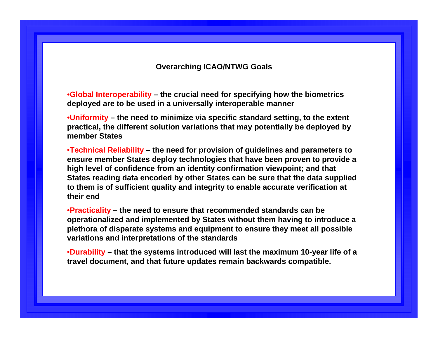#### **Overarching ICAO/NTWG Goals**

•**Global Interoperability – the crucial need for specifying how the biometrics deployed are to be used in a universally interoperable manner**

•**Uniformity – the need to minimize via specific standard setting, to the extent practical, the different solution variations that may potentially be deployed by member States**

•**Technical Reliability – the need for provision of guidelines and parameters to ensure member States deploy technologies that have been proven to provide a high level of confidence from an identity confirmation viewpoint; and that States reading data encoded by other States can be sure that the data supplied to them is of sufficient quality and integrity to enable accurate verification at their end**

•**Practicality – the need to ensure that recommended standards can be operationalized and implemented by States without them having to introduce a plethora of disparate systems and equipment to ensure they meet all possible variations and interpretations of the standards** 

•**Durability – that the systems introduced will last the maximum 10-year life of a travel document, and that future updates remain backwards compatible.**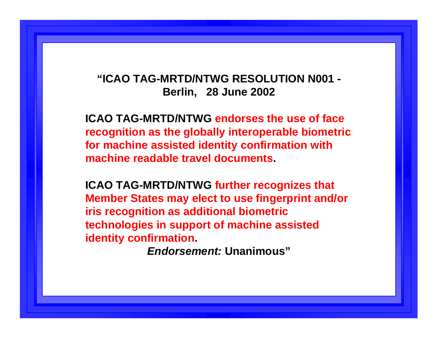#### **"ICAO TAG-MRTD/NTWG RESOLUTION N001 - Berlin, 28 June 2002**

**ICAO TAG-MRTD/NTWG endorses the use of face recognition as the globally interoperable biometric for machine assisted identity confirmation with machine readable travel documents.**

**ICAO TAG-MRTD/NTWG further recognizes that Member States may elect to use fingerprint and/or iris recognition as additional biometric technologies in support of machine assisted identity confirmation.**

*Endorsement:* **Unanimous"**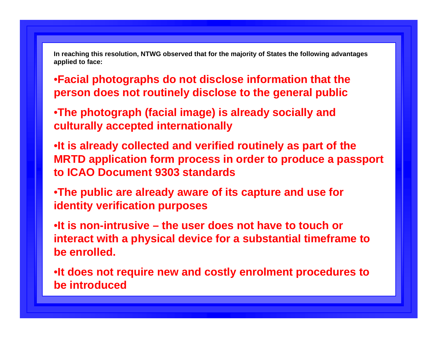**In reaching this resolution, NTWG observed that for the majority of States the following advantages applied to face:**

•**Facial photographs do not disclose information that the person does not routinely disclose to the general public**

•**The photograph (facial image) is already socially and culturally accepted internationally**

•**It is already collected and verified routinely as part of the MRTD application form process in order to produce a passport to ICAO Document 9303 standards**

•**The public are already aware of its capture and use for identity verification purposes**

•**It is non-intrusive – the user does not have to touch or interact with a physical device for a substantial timeframe to be enrolled.**

•**It does not require new and costly enrolment procedures to be introduced**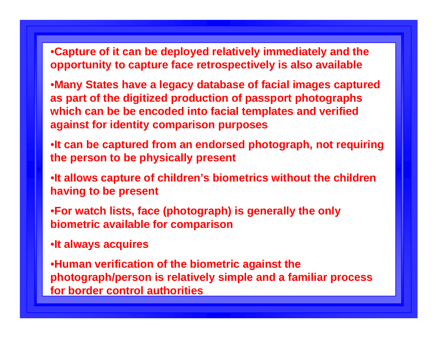•**Capture of it can be deployed relatively immediately and the opportunity to capture face retrospectively is also available**

- •**Many States have a legacy database of facial images captured as part of the digitized production of passport photographs which can be be encoded into facial templates and verified against for identity comparison purposes**
- •**It can be captured from an endorsed photograph, not requiring the person to be physically present**
- •**It allows capture of children's biometrics without the children having to be present**
- •**For watch lists, face (photograph) is generally the only biometric available for comparison**
- •**It always acquires**

•**Human verification of the biometric against the photograph/person is relatively simple and a familiar process for border control authorities**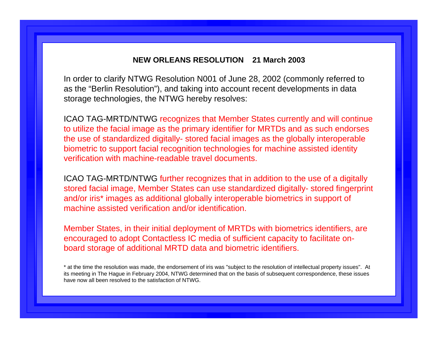#### **NEW ORLEANS RESOLUTION 21 March 2003**

In order to clarify NTWG Resolution N001 of June 28, 2002 (commonly referred to as the "Berlin Resolution"), and taking into account recent developments in data storage technologies, the NTWG hereby resolves:

ICAO TAG-MRTD/NTWG recognizes that Member States currently and will continue to utilize the facial image as the primary identifier for MRTDs and as such endorses the use of standardized digitally- stored facial images as the globally interoperable biometric to support facial recognition technologies for machine assisted identity verification with machine-readable travel documents.

ICAO TAG-MRTD/NTWG further recognizes that in addition to the use of a digitally stored facial image, Member States can use standardized digitally- stored fingerprint and/or iris\* images as additional globally interoperable biometrics in support of machine assisted verification and/or identification.

Member States, in their initial deployment of MRTDs with biometrics identifiers, are encouraged to adopt Contactless IC media of sufficient capacity to facilitate onboard storage of additional MRTD data and biometric identifiers.

\* at the time the resolution was made, the endorsement of iris was "subject to the resolution of intellectual property issues". At its meeting in The Hague in February 2004, NTWG determined that on the basis of subsequent correspondence, these issues have now all been resolved to the satisfaction of NTWG.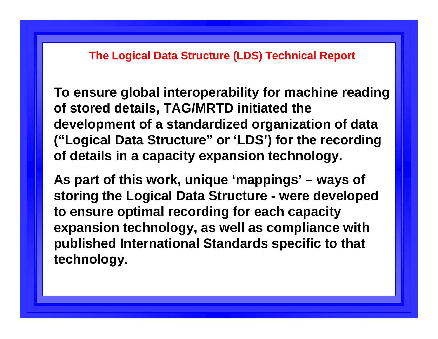#### **The Logical Data Structure (LDS) Technical Report**

**To ensure global interoperability for machine reading of stored details, TAG/MRTD initiated the development of a standardized organization of data ("Logical Data Structure" or 'LDS') for the recording of details in a capacity expansion technology.**

**As part of this work, unique 'mappings' – ways of storing the Logical Data Structure - were developed to ensure optimal recording for each capacity expansion technology, as well as compliance with published International Standards specific to that technology.**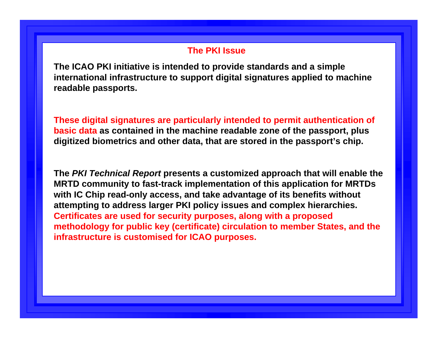#### **The PKI Issue**

**The ICAO PKI initiative is intended to provide standards and a simple international infrastructure to support digital signatures applied to machine readable passports.**

**These digital signatures are particularly intended to permit authentication of basic data as contained in the machine readable zone of the passport, plus digitized biometrics and other data, that are stored in the passport's chip.**

**The** *PKI Technical Report* **presents a customized approach that will enable the MRTD community to fast-track implementation of this application for MRTDs with IC Chip read-only access, and take advantage of its benefits without attempting to address larger PKI policy issues and complex hierarchies. Certificates are used for security purposes, along with a proposed methodology for public key (certificate) circulation to member States, and the infrastructure is customised for ICAO purposes.**